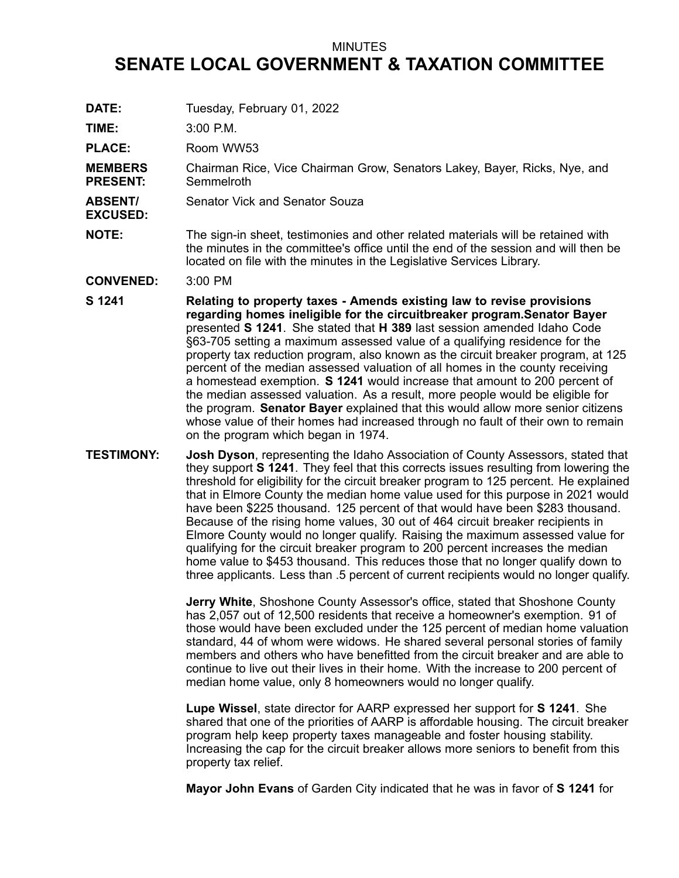## MINUTES

## **SENATE LOCAL GOVERNMENT & TAXATION COMMITTEE**

**DATE:** Tuesday, February 01, 2022

**TIME:** 3:00 P.M.

PLACE: Room WW53

**MEMBERS PRESENT:** Chairman Rice, Vice Chairman Grow, Senators Lakey, Bayer, Ricks, Nye, and **Semmelroth** 

**ABSENT/** Senator Vick and Senator Souza

**EXCUSED:**

**NOTE:** The sign-in sheet, testimonies and other related materials will be retained with the minutes in the committee's office until the end of the session and will then be located on file with the minutes in the Legislative Services Library.

**CONVENED:** 3:00 PM

**S 1241 Relating to property taxes - Amends existing law to revise provisions regarding homes ineligible for the circuitbreaker program.Senator Bayer** presented **S 1241**. She stated that **H 389** last session amended Idaho Code §63-705 setting <sup>a</sup> maximum assessed value of <sup>a</sup> qualifying residence for the property tax reduction program, also known as the circuit breaker program, at 125 percent of the median assessed valuation of all homes in the county receiving <sup>a</sup> homestead exemption. **S 1241** would increase that amount to 200 percent of the median assessed valuation. As <sup>a</sup> result, more people would be eligible for the program. **Senator Bayer** explained that this would allow more senior citizens whose value of their homes had increased through no fault of their own to remain on the program which began in 1974.

**TESTIMONY: Josh Dyson**, representing the Idaho Association of County Assessors, stated that they support **S 1241**. They feel that this corrects issues resulting from lowering the threshold for eligibility for the circuit breaker program to 125 percent. He explained that in Elmore County the median home value used for this purpose in 2021 would have been \$225 thousand. 125 percent of that would have been \$283 thousand. Because of the rising home values, 30 out of 464 circuit breaker recipients in Elmore County would no longer qualify. Raising the maximum assessed value for qualifying for the circuit breaker program to 200 percent increases the median home value to \$453 thousand. This reduces those that no longer qualify down to three applicants. Less than .5 percent of current recipients would no longer qualify.

> **Jerry White**, Shoshone County Assessor's office, stated that Shoshone County has 2,057 out of 12,500 residents that receive <sup>a</sup> homeowner's exemption. 91 of those would have been excluded under the 125 percent of median home valuation standard, 44 of whom were widows. He shared several personal stories of family members and others who have benefitted from the circuit breaker and are able to continue to live out their lives in their home. With the increase to 200 percent of median home value, only 8 homeowners would no longer qualify.

> **Lupe Wissel**, state director for AARP expressed her support for **S 1241**. She shared that one of the priorities of AARP is affordable housing. The circuit breaker program help keep property taxes manageable and foster housing stability. Increasing the cap for the circuit breaker allows more seniors to benefit from this property tax relief.

**Mayor John Evans** of Garden City indicated that he was in favor of **S 1241** for